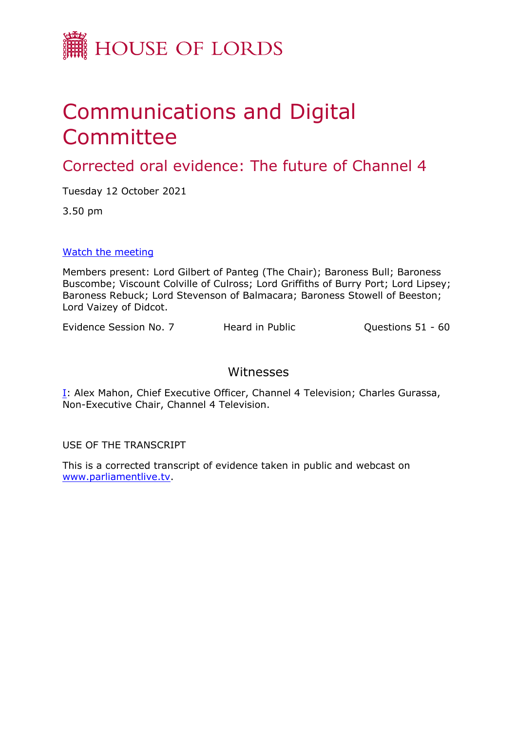

# Communications and Digital Committee

Corrected oral evidence: The future of Channel 4

Tuesday 12 October 2021

3.50 pm

[Watch](https://committees.parliament.uk/event/5586/formal-meeting-oral-evidence-session/) [the](https://committees.parliament.uk/event/5586/formal-meeting-oral-evidence-session/) [meeting](https://committees.parliament.uk/event/5586/formal-meeting-oral-evidence-session/)

Members present: Lord Gilbert of Panteg (The Chair); Baroness Bull; Baroness Buscombe; Viscount Colville of Culross; Lord Griffiths of Burry Port; Lord Lipsey; Baroness Rebuck; Lord Stevenson of Balmacara; Baroness Stowell of Beeston; Lord Vaizey of Didcot.

Evidence Session No. 7 Heard in Public Questions 51 - 60

### Witnesses

[I:](#page-1-0) Alex Mahon, Chief Executive Officer, Channel 4 Television; Charles Gurassa, Non-Executive Chair, Channel 4 Television.

USE OF THE TRANSCRIPT

This is a corrected transcript of evidence taken in public and webcast on [www.parliamentlive.tv](http://www.parliamentlive.tv/).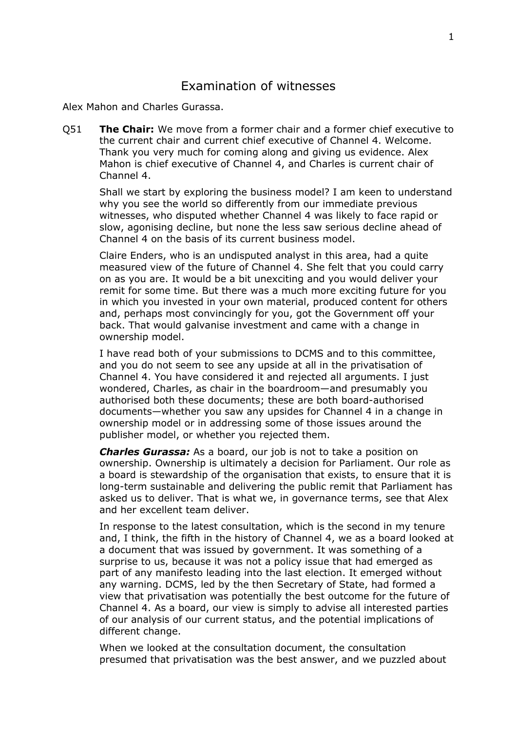## <span id="page-1-0"></span>Examination of witnesses

Alex Mahon and Charles Gurassa.

Q51 **The Chair:** We move from a former chair and a former chief executive to the current chair and current chief executive of Channel 4. Welcome. Thank you very much for coming along and giving us evidence. Alex Mahon is chief executive of Channel 4, and Charles is current chair of Channel 4.

Shall we start by exploring the business model? I am keen to understand why you see the world so differently from our immediate previous witnesses, who disputed whether Channel 4 was likely to face rapid or slow, agonising decline, but none the less saw serious decline ahead of Channel 4 on the basis of its current business model.

Claire Enders, who is an undisputed analyst in this area, had a quite measured view of the future of Channel 4. She felt that you could carry on as you are. It would be a bit unexciting and you would deliver your remit for some time. But there was a much more exciting future for you in which you invested in your own material, produced content for others and, perhaps most convincingly for you, got the Government off your back. That would galvanise investment and came with a change in ownership model.

I have read both of your submissions to DCMS and to this committee, and you do not seem to see any upside at all in the privatisation of Channel 4. You have considered it and rejected all arguments. I just wondered, Charles, as chair in the boardroom—and presumably you authorised both these documents; these are both board-authorised documents—whether you saw any upsides for Channel 4 in a change in ownership model or in addressing some of those issues around the publisher model, or whether you rejected them.

*Charles Gurassa:* As a board, our job is not to take a position on ownership. Ownership is ultimately a decision for Parliament. Our role as a board is stewardship of the organisation that exists, to ensure that it is long-term sustainable and delivering the public remit that Parliament has asked us to deliver. That is what we, in governance terms, see that Alex and her excellent team deliver.

In response to the latest consultation, which is the second in my tenure and, I think, the fifth in the history of Channel 4, we as a board looked at a document that was issued by government. It was something of a surprise to us, because it was not a policy issue that had emerged as part of any manifesto leading into the last election. It emerged without any warning. DCMS, led by the then Secretary of State, had formed a view that privatisation was potentially the best outcome for the future of Channel 4. As a board, our view is simply to advise all interested parties of our analysis of our current status, and the potential implications of different change.

When we looked at the consultation document, the consultation presumed that privatisation was the best answer, and we puzzled about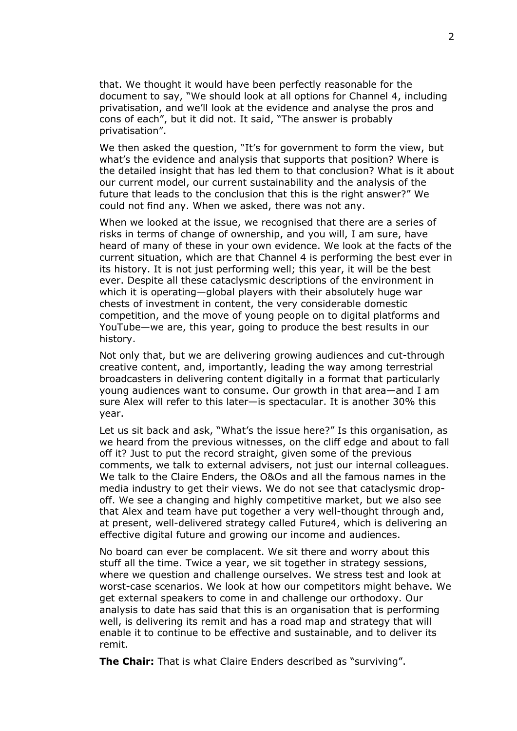that. We thought it would have been perfectly reasonable for the document to say, "We should look at all options for Channel 4, including privatisation, and we'll look at the evidence and analyse the pros and cons of each", but it did not. It said, "The answer is probably privatisation".

We then asked the question, "It's for government to form the view, but what's the evidence and analysis that supports that position? Where is the detailed insight that has led them to that conclusion? What is it about our current model, our current sustainability and the analysis of the future that leads to the conclusion that this is the right answer?" We could not find any. When we asked, there was not any.

When we looked at the issue, we recognised that there are a series of risks in terms of change of ownership, and you will, I am sure, have heard of many of these in your own evidence. We look at the facts of the current situation, which are that Channel 4 is performing the best ever in its history. It is not just performing well; this year, it will be the best ever. Despite all these cataclysmic descriptions of the environment in which it is operating—global players with their absolutely huge war chests of investment in content, the very considerable domestic competition, and the move of young people on to digital platforms and YouTube—we are, this year, going to produce the best results in our history.

Not only that, but we are delivering growing audiences and cut-through creative content, and, importantly, leading the way among terrestrial broadcasters in delivering content digitally in a format that particularly young audiences want to consume. Our growth in that area—and I am sure Alex will refer to this later—is spectacular. It is another 30% this year.

Let us sit back and ask, "What's the issue here?" Is this organisation, as we heard from the previous witnesses, on the cliff edge and about to fall off it? Just to put the record straight, given some of the previous comments, we talk to external advisers, not just our internal colleagues. We talk to the Claire Enders, the O&Os and all the famous names in the media industry to get their views. We do not see that cataclysmic dropoff. We see a changing and highly competitive market, but we also see that Alex and team have put together a very well-thought through and, at present, well-delivered strategy called Future4, which is delivering an effective digital future and growing our income and audiences.

No board can ever be complacent. We sit there and worry about this stuff all the time. Twice a year, we sit together in strategy sessions, where we question and challenge ourselves. We stress test and look at worst-case scenarios. We look at how our competitors might behave. We get external speakers to come in and challenge our orthodoxy. Our analysis to date has said that this is an organisation that is performing well, is delivering its remit and has a road map and strategy that will enable it to continue to be effective and sustainable, and to deliver its remit.

**The Chair:** That is what Claire Enders described as "surviving".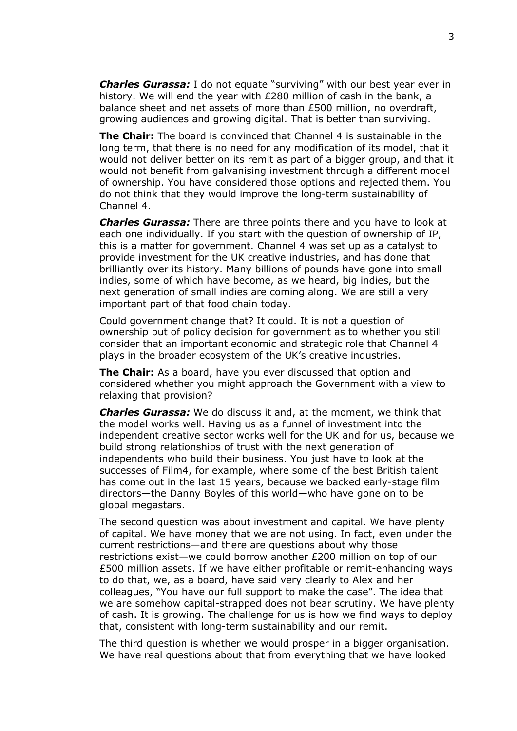*Charles Gurassa:* I do not equate "surviving" with our best year ever in history. We will end the year with £280 million of cash in the bank, a balance sheet and net assets of more than £500 million, no overdraft, growing audiences and growing digital. That is better than surviving.

**The Chair:** The board is convinced that Channel 4 is sustainable in the long term, that there is no need for any modification of its model, that it would not deliver better on its remit as part of a bigger group, and that it would not benefit from galvanising investment through a different model of ownership. You have considered those options and rejected them. You do not think that they would improve the long-term sustainability of Channel 4.

*Charles Gurassa:* There are three points there and you have to look at each one individually. If you start with the question of ownership of IP, this is a matter for government. Channel 4 was set up as a catalyst to provide investment for the UK creative industries, and has done that brilliantly over its history. Many billions of pounds have gone into small indies, some of which have become, as we heard, big indies, but the next generation of small indies are coming along. We are still a very important part of that food chain today.

Could government change that? It could. It is not a question of ownership but of policy decision for government as to whether you still consider that an important economic and strategic role that Channel 4 plays in the broader ecosystem of the UK's creative industries.

**The Chair:** As a board, have you ever discussed that option and considered whether you might approach the Government with a view to relaxing that provision?

*Charles Gurassa:* We do discuss it and, at the moment, we think that the model works well. Having us as a funnel of investment into the independent creative sector works well for the UK and for us, because we build strong relationships of trust with the next generation of independents who build their business. You just have to look at the successes of Film4, for example, where some of the best British talent has come out in the last 15 years, because we backed early-stage film directors—the Danny Boyles of this world—who have gone on to be global megastars.

The second question was about investment and capital. We have plenty of capital. We have money that we are not using. In fact, even under the current restrictions—and there are questions about why those restrictions exist—we could borrow another £200 million on top of our £500 million assets. If we have either profitable or remit-enhancing ways to do that, we, as a board, have said very clearly to Alex and her colleagues, "You have our full support to make the case". The idea that we are somehow capital-strapped does not bear scrutiny. We have plenty of cash. It is growing. The challenge for us is how we find ways to deploy that, consistent with long-term sustainability and our remit.

The third question is whether we would prosper in a bigger organisation. We have real questions about that from everything that we have looked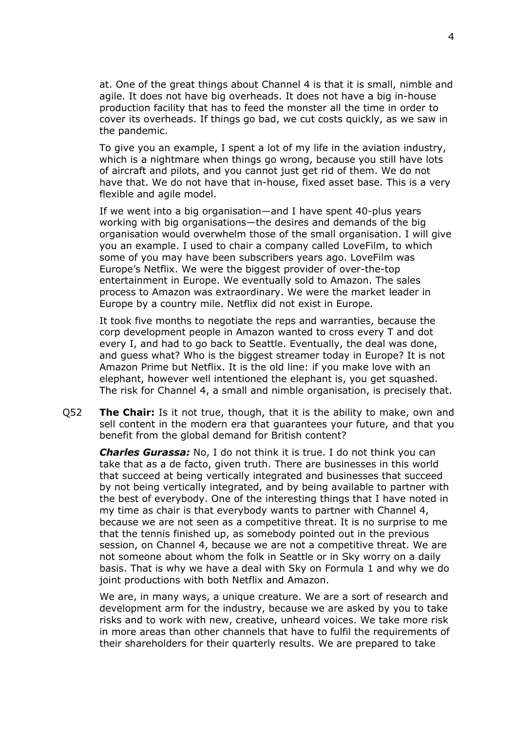at. One of the great things about Channel 4 is that it is small, nimble and agile. It does not have big overheads. It does not have a big in-house production facility that has to feed the monster all the time in order to cover its overheads. If things go bad, we cut costs quickly, as we saw in the pandemic.

To give you an example, I spent a lot of my life in the aviation industry, which is a nightmare when things go wrong, because you still have lots of aircraft and pilots, and you cannot just get rid of them. We do not have that. We do not have that in-house, fixed asset base. This is a very flexible and agile model.

If we went into a big organisation—and I have spent 40-plus years working with big organisations—the desires and demands of the big organisation would overwhelm those of the small organisation. I will give you an example. I used to chair a company called LoveFilm, to which some of you may have been subscribers years ago. LoveFilm was Europe's Netflix. We were the biggest provider of over-the-top entertainment in Europe. We eventually sold to Amazon. The sales process to Amazon was extraordinary. We were the market leader in Europe by a country mile. Netflix did not exist in Europe.

It took five months to negotiate the reps and warranties, because the corp development people in Amazon wanted to cross every T and dot every I, and had to go back to Seattle. Eventually, the deal was done, and guess what? Who is the biggest streamer today in Europe? It is not Amazon Prime but Netflix. It is the old line: if you make love with an elephant, however well intentioned the elephant is, you get squashed. The risk for Channel 4, a small and nimble organisation, is precisely that.

Q52 **The Chair:** Is it not true, though, that it is the ability to make, own and sell content in the modern era that guarantees your future, and that you benefit from the global demand for British content?

*Charles Gurassa:* No, I do not think it is true. I do not think you can take that as a de facto, given truth. There are businesses in this world that succeed at being vertically integrated and businesses that succeed by not being vertically integrated, and by being available to partner with the best of everybody. One of the interesting things that I have noted in my time as chair is that everybody wants to partner with Channel 4, because we are not seen as a competitive threat. It is no surprise to me that the tennis finished up, as somebody pointed out in the previous session, on Channel 4, because we are not a competitive threat. We are not someone about whom the folk in Seattle or in Sky worry on a daily basis. That is why we have a deal with Sky on Formula 1 and why we do joint productions with both Netflix and Amazon.

We are, in many ways, a unique creature. We are a sort of research and development arm for the industry, because we are asked by you to take risks and to work with new, creative, unheard voices. We take more risk in more areas than other channels that have to fulfil the requirements of their shareholders for their quarterly results. We are prepared to take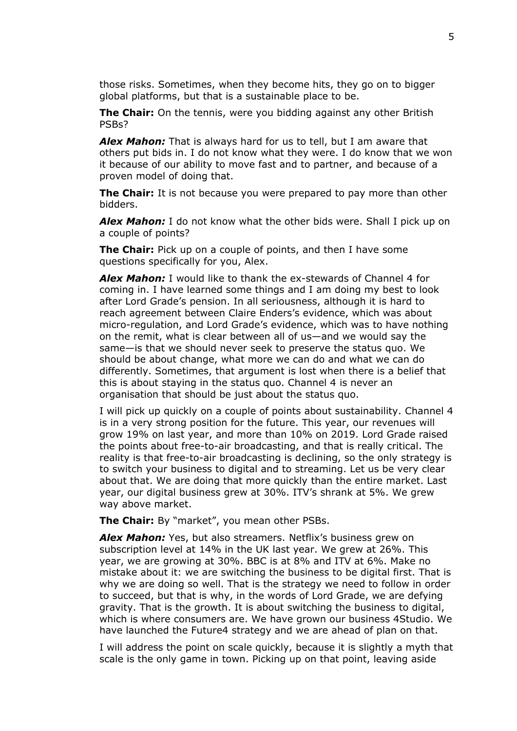those risks. Sometimes, when they become hits, they go on to bigger global platforms, but that is a sustainable place to be.

**The Chair:** On the tennis, were you bidding against any other British PSBs?

*Alex Mahon:* That is always hard for us to tell, but I am aware that others put bids in. I do not know what they were. I do know that we won it because of our ability to move fast and to partner, and because of a proven model of doing that.

**The Chair:** It is not because you were prepared to pay more than other bidders.

*Alex Mahon:* I do not know what the other bids were. Shall I pick up on a couple of points?

**The Chair:** Pick up on a couple of points, and then I have some questions specifically for you, Alex.

*Alex Mahon:* I would like to thank the ex-stewards of Channel 4 for coming in. I have learned some things and I am doing my best to look after Lord Grade's pension. In all seriousness, although it is hard to reach agreement between Claire Enders's evidence, which was about micro-regulation, and Lord Grade's evidence, which was to have nothing on the remit, what is clear between all of us—and we would say the same—is that we should never seek to preserve the status quo. We should be about change, what more we can do and what we can do differently. Sometimes, that argument is lost when there is a belief that this is about staying in the status quo. Channel 4 is never an organisation that should be just about the status quo.

I will pick up quickly on a couple of points about sustainability. Channel 4 is in a very strong position for the future. This year, our revenues will grow 19% on last year, and more than 10% on 2019. Lord Grade raised the points about free-to-air broadcasting, and that is really critical. The reality is that free-to-air broadcasting is declining, so the only strategy is to switch your business to digital and to streaming. Let us be very clear about that. We are doing that more quickly than the entire market. Last year, our digital business grew at 30%. ITV's shrank at 5%. We grew way above market.

**The Chair:** By "market", you mean other PSBs.

*Alex Mahon:* Yes, but also streamers. Netflix's business grew on subscription level at 14% in the UK last year. We grew at 26%. This year, we are growing at 30%. BBC is at 8% and ITV at 6%. Make no mistake about it: we are switching the business to be digital first. That is why we are doing so well. That is the strategy we need to follow in order to succeed, but that is why, in the words of Lord Grade, we are defying gravity. That is the growth. It is about switching the business to digital, which is where consumers are. We have grown our business 4Studio. We have launched the Future4 strategy and we are ahead of plan on that.

I will address the point on scale quickly, because it is slightly a myth that scale is the only game in town. Picking up on that point, leaving aside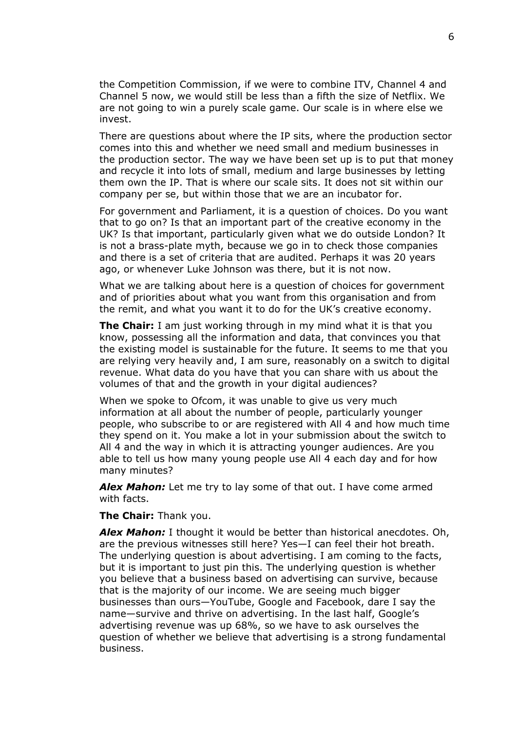the Competition Commission, if we were to combine ITV, Channel 4 and Channel 5 now, we would still be less than a fifth the size of Netflix. We are not going to win a purely scale game. Our scale is in where else we invest.

There are questions about where the IP sits, where the production sector comes into this and whether we need small and medium businesses in the production sector. The way we have been set up is to put that money and recycle it into lots of small, medium and large businesses by letting them own the IP. That is where our scale sits. It does not sit within our company per se, but within those that we are an incubator for.

For government and Parliament, it is a question of choices. Do you want that to go on? Is that an important part of the creative economy in the UK? Is that important, particularly given what we do outside London? It is not a brass-plate myth, because we go in to check those companies and there is a set of criteria that are audited. Perhaps it was 20 years ago, or whenever Luke Johnson was there, but it is not now.

What we are talking about here is a question of choices for government and of priorities about what you want from this organisation and from the remit, and what you want it to do for the UK's creative economy.

**The Chair:** I am just working through in my mind what it is that you know, possessing all the information and data, that convinces you that the existing model is sustainable for the future. It seems to me that you are relying very heavily and, I am sure, reasonably on a switch to digital revenue. What data do you have that you can share with us about the volumes of that and the growth in your digital audiences?

When we spoke to Ofcom, it was unable to give us very much information at all about the number of people, particularly younger people, who subscribe to or are registered with All 4 and how much time they spend on it. You make a lot in your submission about the switch to All 4 and the way in which it is attracting younger audiences. Are you able to tell us how many young people use All 4 each day and for how many minutes?

*Alex Mahon:* Let me try to lay some of that out. I have come armed with facts.

**The Chair:** Thank you.

*Alex Mahon:* I thought it would be better than historical anecdotes. Oh, are the previous witnesses still here? Yes—I can feel their hot breath. The underlying question is about advertising. I am coming to the facts, but it is important to just pin this. The underlying question is whether you believe that a business based on advertising can survive, because that is the majority of our income. We are seeing much bigger businesses than ours—YouTube, Google and Facebook, dare I say the name—survive and thrive on advertising. In the last half, Google's advertising revenue was up 68%, so we have to ask ourselves the question of whether we believe that advertising is a strong fundamental business.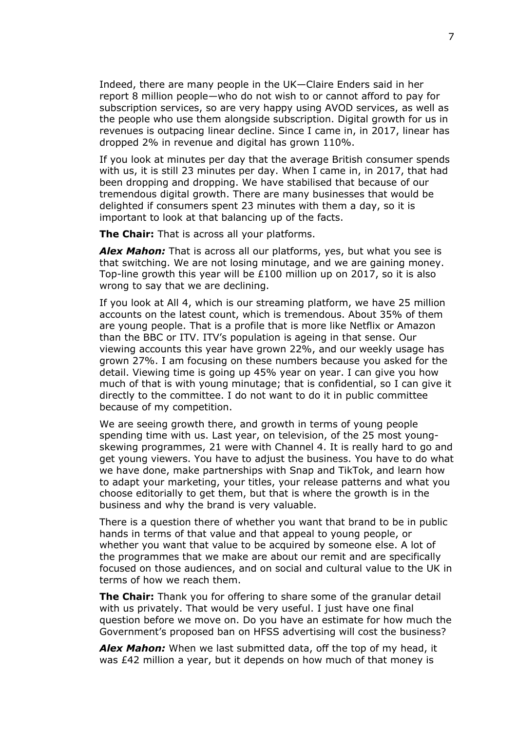Indeed, there are many people in the UK—Claire Enders said in her report 8 million people—who do not wish to or cannot afford to pay for subscription services, so are very happy using AVOD services, as well as the people who use them alongside subscription. Digital growth for us in revenues is outpacing linear decline. Since I came in, in 2017, linear has dropped 2% in revenue and digital has grown 110%.

If you look at minutes per day that the average British consumer spends with us, it is still 23 minutes per day. When I came in, in 2017, that had been dropping and dropping. We have stabilised that because of our tremendous digital growth. There are many businesses that would be delighted if consumers spent 23 minutes with them a day, so it is important to look at that balancing up of the facts.

**The Chair:** That is across all your platforms.

*Alex Mahon:* That is across all our platforms, yes, but what you see is that switching. We are not losing minutage, and we are gaining money. Top-line growth this year will be £100 million up on 2017, so it is also wrong to say that we are declining.

If you look at All 4, which is our streaming platform, we have 25 million accounts on the latest count, which is tremendous. About 35% of them are young people. That is a profile that is more like Netflix or Amazon than the BBC or ITV. ITV's population is ageing in that sense. Our viewing accounts this year have grown 22%, and our weekly usage has grown 27%. I am focusing on these numbers because you asked for the detail. Viewing time is going up 45% year on year. I can give you how much of that is with young minutage; that is confidential, so I can give it directly to the committee. I do not want to do it in public committee because of my competition.

We are seeing growth there, and growth in terms of young people spending time with us. Last year, on television, of the 25 most youngskewing programmes, 21 were with Channel 4. It is really hard to go and get young viewers. You have to adjust the business. You have to do what we have done, make partnerships with Snap and TikTok, and learn how to adapt your marketing, your titles, your release patterns and what you choose editorially to get them, but that is where the growth is in the business and why the brand is very valuable.

There is a question there of whether you want that brand to be in public hands in terms of that value and that appeal to young people, or whether you want that value to be acquired by someone else. A lot of the programmes that we make are about our remit and are specifically focused on those audiences, and on social and cultural value to the UK in terms of how we reach them.

**The Chair:** Thank you for offering to share some of the granular detail with us privately. That would be very useful. I just have one final question before we move on. Do you have an estimate for how much the Government's proposed ban on HFSS advertising will cost the business?

*Alex Mahon:* When we last submitted data, off the top of my head, it was £42 million a year, but it depends on how much of that money is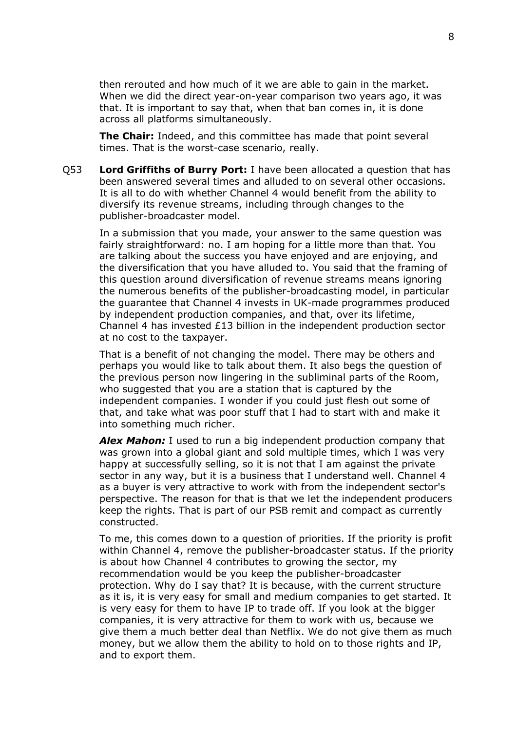then rerouted and how much of it we are able to gain in the market. When we did the direct year-on-year comparison two years ago, it was that. It is important to say that, when that ban comes in, it is done across all platforms simultaneously.

**The Chair:** Indeed, and this committee has made that point several times. That is the worst-case scenario, really.

Q53 **Lord Griffiths of Burry Port:** I have been allocated a question that has been answered several times and alluded to on several other occasions. It is all to do with whether Channel 4 would benefit from the ability to diversify its revenue streams, including through changes to the publisher-broadcaster model.

In a submission that you made, your answer to the same question was fairly straightforward: no. I am hoping for a little more than that. You are talking about the success you have enjoyed and are enjoying, and the diversification that you have alluded to. You said that the framing of this question around diversification of revenue streams means ignoring the numerous benefits of the publisher-broadcasting model, in particular the guarantee that Channel 4 invests in UK-made programmes produced by independent production companies, and that, over its lifetime, Channel 4 has invested £13 billion in the independent production sector at no cost to the taxpayer.

That is a benefit of not changing the model. There may be others and perhaps you would like to talk about them. It also begs the question of the previous person now lingering in the subliminal parts of the Room, who suggested that you are a station that is captured by the independent companies. I wonder if you could just flesh out some of that, and take what was poor stuff that I had to start with and make it into something much richer.

*Alex Mahon:* I used to run a big independent production company that was grown into a global giant and sold multiple times, which I was very happy at successfully selling, so it is not that I am against the private sector in any way, but it is a business that I understand well. Channel 4 as a buyer is very attractive to work with from the independent sector's perspective. The reason for that is that we let the independent producers keep the rights. That is part of our PSB remit and compact as currently constructed.

To me, this comes down to a question of priorities. If the priority is profit within Channel 4, remove the publisher-broadcaster status. If the priority is about how Channel 4 contributes to growing the sector, my recommendation would be you keep the publisher-broadcaster protection. Why do I say that? It is because, with the current structure as it is, it is very easy for small and medium companies to get started. It is very easy for them to have IP to trade off. If you look at the bigger companies, it is very attractive for them to work with us, because we give them a much better deal than Netflix. We do not give them as much money, but we allow them the ability to hold on to those rights and IP, and to export them.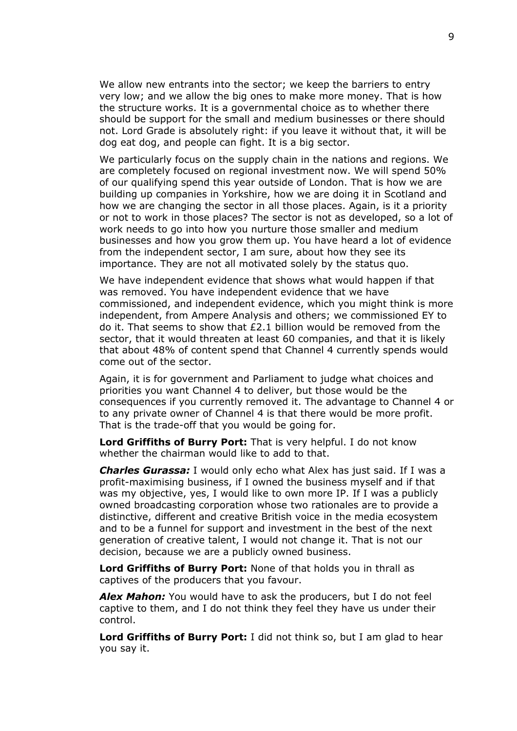We allow new entrants into the sector; we keep the barriers to entry very low; and we allow the big ones to make more money. That is how the structure works. It is a governmental choice as to whether there should be support for the small and medium businesses or there should not. Lord Grade is absolutely right: if you leave it without that, it will be dog eat dog, and people can fight. It is a big sector.

We particularly focus on the supply chain in the nations and regions. We are completely focused on regional investment now. We will spend 50% of our qualifying spend this year outside of London. That is how we are building up companies in Yorkshire, how we are doing it in Scotland and how we are changing the sector in all those places. Again, is it a priority or not to work in those places? The sector is not as developed, so a lot of work needs to go into how you nurture those smaller and medium businesses and how you grow them up. You have heard a lot of evidence from the independent sector, I am sure, about how they see its importance. They are not all motivated solely by the status quo.

We have independent evidence that shows what would happen if that was removed. You have independent evidence that we have commissioned, and independent evidence, which you might think is more independent, from Ampere Analysis and others; we commissioned EY to do it. That seems to show that £2.1 billion would be removed from the sector, that it would threaten at least 60 companies, and that it is likely that about 48% of content spend that Channel 4 currently spends would come out of the sector.

Again, it is for government and Parliament to judge what choices and priorities you want Channel 4 to deliver, but those would be the consequences if you currently removed it. The advantage to Channel 4 or to any private owner of Channel 4 is that there would be more profit. That is the trade-off that you would be going for.

**Lord Griffiths of Burry Port:** That is very helpful. I do not know whether the chairman would like to add to that.

*Charles Gurassa:* I would only echo what Alex has just said. If I was a profit-maximising business, if I owned the business myself and if that was my objective, yes, I would like to own more IP. If I was a publicly owned broadcasting corporation whose two rationales are to provide a distinctive, different and creative British voice in the media ecosystem and to be a funnel for support and investment in the best of the next generation of creative talent, I would not change it. That is not our decision, because we are a publicly owned business.

**Lord Griffiths of Burry Port:** None of that holds you in thrall as captives of the producers that you favour.

*Alex Mahon:* You would have to ask the producers, but I do not feel captive to them, and I do not think they feel they have us under their control.

**Lord Griffiths of Burry Port:** I did not think so, but I am glad to hear you say it.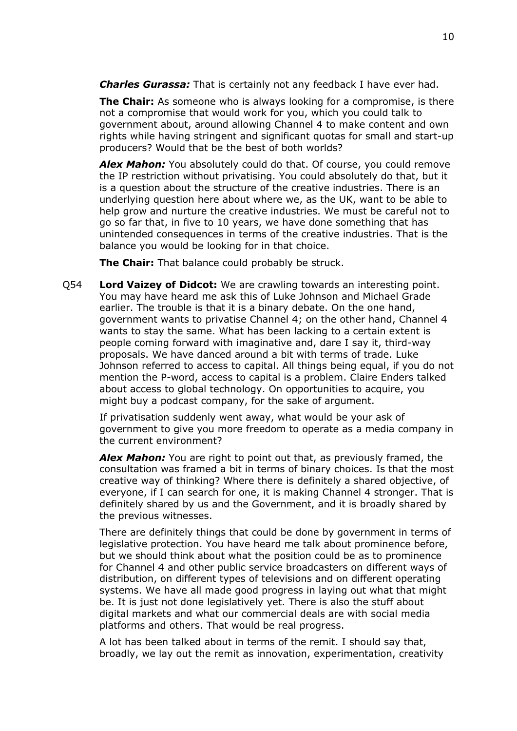*Charles Gurassa:* That is certainly not any feedback I have ever had.

**The Chair:** As someone who is always looking for a compromise, is there not a compromise that would work for you, which you could talk to government about, around allowing Channel 4 to make content and own rights while having stringent and significant quotas for small and start-up producers? Would that be the best of both worlds?

*Alex Mahon:* You absolutely could do that. Of course, you could remove the IP restriction without privatising. You could absolutely do that, but it is a question about the structure of the creative industries. There is an underlying question here about where we, as the UK, want to be able to help grow and nurture the creative industries. We must be careful not to go so far that, in five to 10 years, we have done something that has unintended consequences in terms of the creative industries. That is the balance you would be looking for in that choice.

**The Chair:** That balance could probably be struck.

Q54 **Lord Vaizey of Didcot:** We are crawling towards an interesting point. You may have heard me ask this of Luke Johnson and Michael Grade earlier. The trouble is that it is a binary debate. On the one hand, government wants to privatise Channel 4; on the other hand, Channel 4 wants to stay the same. What has been lacking to a certain extent is people coming forward with imaginative and, dare I say it, third-way proposals. We have danced around a bit with terms of trade. Luke Johnson referred to access to capital. All things being equal, if you do not mention the P-word, access to capital is a problem. Claire Enders talked about access to global technology. On opportunities to acquire, you might buy a podcast company, for the sake of argument.

If privatisation suddenly went away, what would be your ask of government to give you more freedom to operate as a media company in the current environment?

*Alex Mahon:* You are right to point out that, as previously framed, the consultation was framed a bit in terms of binary choices. Is that the most creative way of thinking? Where there is definitely a shared objective, of everyone, if I can search for one, it is making Channel 4 stronger. That is definitely shared by us and the Government, and it is broadly shared by the previous witnesses.

There are definitely things that could be done by government in terms of legislative protection. You have heard me talk about prominence before, but we should think about what the position could be as to prominence for Channel 4 and other public service broadcasters on different ways of distribution, on different types of televisions and on different operating systems. We have all made good progress in laying out what that might be. It is just not done legislatively yet. There is also the stuff about digital markets and what our commercial deals are with social media platforms and others. That would be real progress.

A lot has been talked about in terms of the remit. I should say that, broadly, we lay out the remit as innovation, experimentation, creativity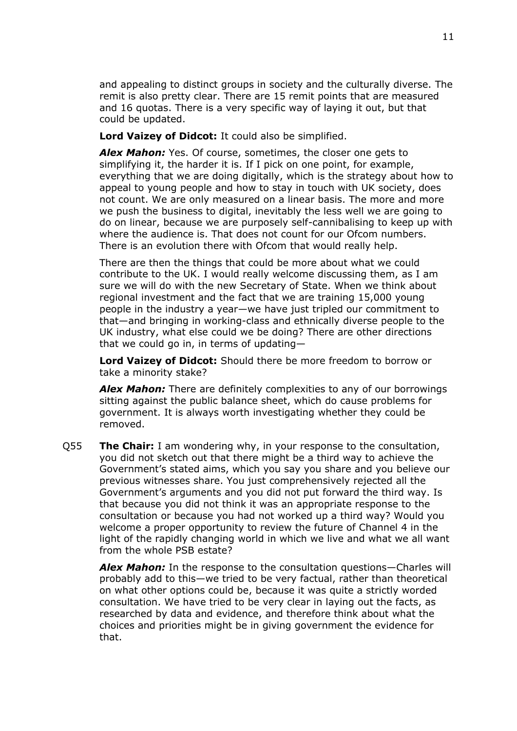and appealing to distinct groups in society and the culturally diverse. The remit is also pretty clear. There are 15 remit points that are measured and 16 quotas. There is a very specific way of laying it out, but that could be updated.

#### **Lord Vaizey of Didcot:** It could also be simplified.

*Alex Mahon:* Yes. Of course, sometimes, the closer one gets to simplifying it, the harder it is. If I pick on one point, for example, everything that we are doing digitally, which is the strategy about how to appeal to young people and how to stay in touch with UK society, does not count. We are only measured on a linear basis. The more and more we push the business to digital, inevitably the less well we are going to do on linear, because we are purposely self-cannibalising to keep up with where the audience is. That does not count for our Ofcom numbers. There is an evolution there with Ofcom that would really help.

There are then the things that could be more about what we could contribute to the UK. I would really welcome discussing them, as I am sure we will do with the new Secretary of State. When we think about regional investment and the fact that we are training 15,000 young people in the industry a year—we have just tripled our commitment to that—and bringing in working-class and ethnically diverse people to the UK industry, what else could we be doing? There are other directions that we could go in, in terms of updating—

**Lord Vaizey of Didcot:** Should there be more freedom to borrow or take a minority stake?

*Alex Mahon:* There are definitely complexities to any of our borrowings sitting against the public balance sheet, which do cause problems for government. It is always worth investigating whether they could be removed.

Q55 **The Chair:** I am wondering why, in your response to the consultation, you did not sketch out that there might be a third way to achieve the Government's stated aims, which you say you share and you believe our previous witnesses share. You just comprehensively rejected all the Government's arguments and you did not put forward the third way. Is that because you did not think it was an appropriate response to the consultation or because you had not worked up a third way? Would you welcome a proper opportunity to review the future of Channel 4 in the light of the rapidly changing world in which we live and what we all want from the whole PSB estate?

*Alex Mahon:* In the response to the consultation questions—Charles will probably add to this—we tried to be very factual, rather than theoretical on what other options could be, because it was quite a strictly worded consultation. We have tried to be very clear in laying out the facts, as researched by data and evidence, and therefore think about what the choices and priorities might be in giving government the evidence for that.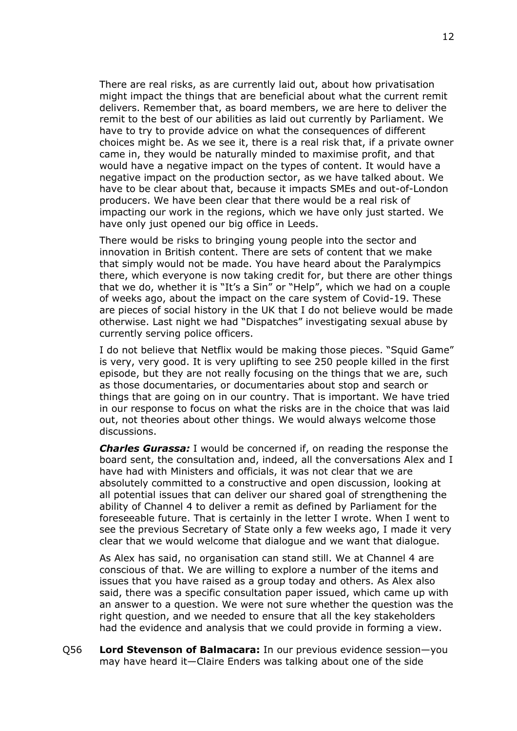There are real risks, as are currently laid out, about how privatisation might impact the things that are beneficial about what the current remit delivers. Remember that, as board members, we are here to deliver the remit to the best of our abilities as laid out currently by Parliament. We have to try to provide advice on what the consequences of different choices might be. As we see it, there is a real risk that, if a private owner came in, they would be naturally minded to maximise profit, and that would have a negative impact on the types of content. It would have a negative impact on the production sector, as we have talked about. We have to be clear about that, because it impacts SMEs and out-of-London producers. We have been clear that there would be a real risk of impacting our work in the regions, which we have only just started. We have only just opened our big office in Leeds.

There would be risks to bringing young people into the sector and innovation in British content. There are sets of content that we make that simply would not be made. You have heard about the Paralympics there, which everyone is now taking credit for, but there are other things that we do, whether it is "It's a Sin" or "Help", which we had on a couple of weeks ago, about the impact on the care system of Covid-19. These are pieces of social history in the UK that I do not believe would be made otherwise. Last night we had "Dispatches" investigating sexual abuse by currently serving police officers.

I do not believe that Netflix would be making those pieces. "Squid Game" is very, very good. It is very uplifting to see 250 people killed in the first episode, but they are not really focusing on the things that we are, such as those documentaries, or documentaries about stop and search or things that are going on in our country. That is important. We have tried in our response to focus on what the risks are in the choice that was laid out, not theories about other things. We would always welcome those discussions.

*Charles Gurassa:* I would be concerned if, on reading the response the board sent, the consultation and, indeed, all the conversations Alex and I have had with Ministers and officials, it was not clear that we are absolutely committed to a constructive and open discussion, looking at all potential issues that can deliver our shared goal of strengthening the ability of Channel 4 to deliver a remit as defined by Parliament for the foreseeable future. That is certainly in the letter I wrote. When I went to see the previous Secretary of State only a few weeks ago, I made it very clear that we would welcome that dialogue and we want that dialogue.

As Alex has said, no organisation can stand still. We at Channel 4 are conscious of that. We are willing to explore a number of the items and issues that you have raised as a group today and others. As Alex also said, there was a specific consultation paper issued, which came up with an answer to a question. We were not sure whether the question was the right question, and we needed to ensure that all the key stakeholders had the evidence and analysis that we could provide in forming a view.

Q56 **Lord Stevenson of Balmacara:** In our previous evidence session—you may have heard it—Claire Enders was talking about one of the side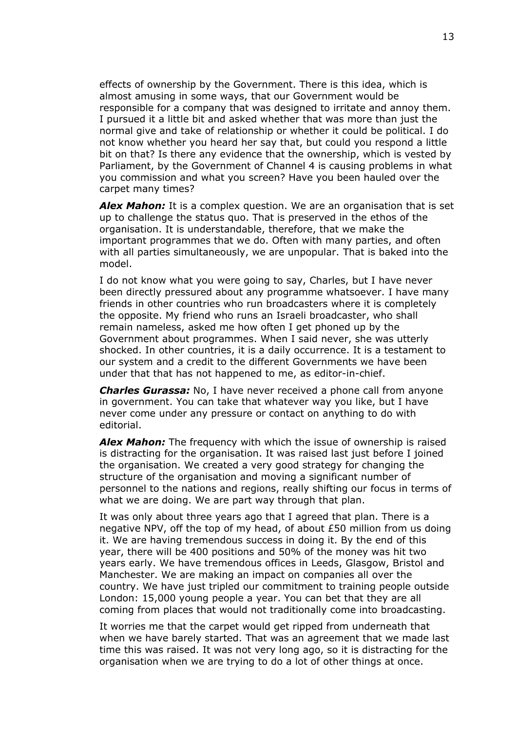effects of ownership by the Government. There is this idea, which is almost amusing in some ways, that our Government would be responsible for a company that was designed to irritate and annoy them. I pursued it a little bit and asked whether that was more than just the normal give and take of relationship or whether it could be political. I do not know whether you heard her say that, but could you respond a little bit on that? Is there any evidence that the ownership, which is vested by Parliament, by the Government of Channel 4 is causing problems in what you commission and what you screen? Have you been hauled over the carpet many times?

*Alex Mahon:* It is a complex question. We are an organisation that is set up to challenge the status quo. That is preserved in the ethos of the organisation. It is understandable, therefore, that we make the important programmes that we do. Often with many parties, and often with all parties simultaneously, we are unpopular. That is baked into the model.

I do not know what you were going to say, Charles, but I have never been directly pressured about any programme whatsoever. I have many friends in other countries who run broadcasters where it is completely the opposite. My friend who runs an Israeli broadcaster, who shall remain nameless, asked me how often I get phoned up by the Government about programmes. When I said never, she was utterly shocked. In other countries, it is a daily occurrence. It is a testament to our system and a credit to the different Governments we have been under that that has not happened to me, as editor-in-chief.

*Charles Gurassa:* No, I have never received a phone call from anyone in government. You can take that whatever way you like, but I have never come under any pressure or contact on anything to do with editorial.

*Alex Mahon:* The frequency with which the issue of ownership is raised is distracting for the organisation. It was raised last just before I joined the organisation. We created a very good strategy for changing the structure of the organisation and moving a significant number of personnel to the nations and regions, really shifting our focus in terms of what we are doing. We are part way through that plan.

It was only about three years ago that I agreed that plan. There is a negative NPV, off the top of my head, of about £50 million from us doing it. We are having tremendous success in doing it. By the end of this year, there will be 400 positions and 50% of the money was hit two years early. We have tremendous offices in Leeds, Glasgow, Bristol and Manchester. We are making an impact on companies all over the country. We have just tripled our commitment to training people outside London: 15,000 young people a year. You can bet that they are all coming from places that would not traditionally come into broadcasting.

It worries me that the carpet would get ripped from underneath that when we have barely started. That was an agreement that we made last time this was raised. It was not very long ago, so it is distracting for the organisation when we are trying to do a lot of other things at once.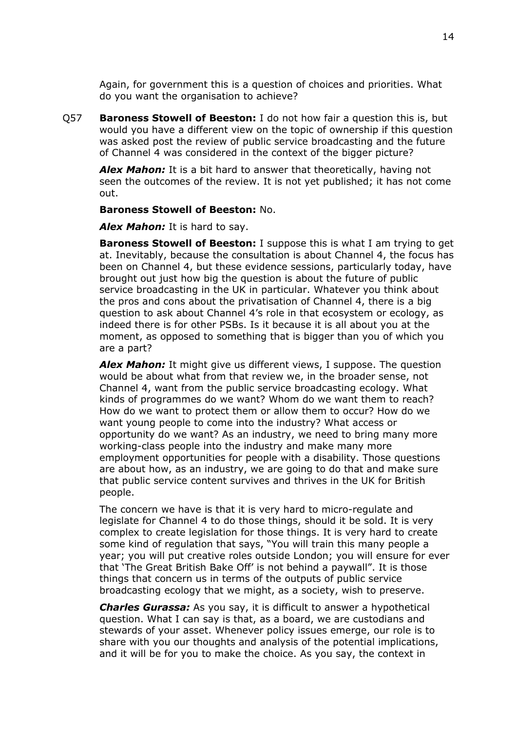Again, for government this is a question of choices and priorities. What do you want the organisation to achieve?

Q57 **Baroness Stowell of Beeston:** I do not how fair a question this is, but would you have a different view on the topic of ownership if this question was asked post the review of public service broadcasting and the future of Channel 4 was considered in the context of the bigger picture?

*Alex Mahon:* It is a bit hard to answer that theoretically, having not seen the outcomes of the review. It is not yet published; it has not come out.

#### **Baroness Stowell of Beeston:** No.

*Alex Mahon:* It is hard to say.

**Baroness Stowell of Beeston:** I suppose this is what I am trying to get at. Inevitably, because the consultation is about Channel 4, the focus has been on Channel 4, but these evidence sessions, particularly today, have brought out just how big the question is about the future of public service broadcasting in the UK in particular. Whatever you think about the pros and cons about the privatisation of Channel 4, there is a big question to ask about Channel 4's role in that ecosystem or ecology, as indeed there is for other PSBs. Is it because it is all about you at the moment, as opposed to something that is bigger than you of which you are a part?

*Alex Mahon:* It might give us different views, I suppose. The question would be about what from that review we, in the broader sense, not Channel 4, want from the public service broadcasting ecology. What kinds of programmes do we want? Whom do we want them to reach? How do we want to protect them or allow them to occur? How do we want young people to come into the industry? What access or opportunity do we want? As an industry, we need to bring many more working-class people into the industry and make many more employment opportunities for people with a disability. Those questions are about how, as an industry, we are going to do that and make sure that public service content survives and thrives in the UK for British people.

The concern we have is that it is very hard to micro-regulate and legislate for Channel 4 to do those things, should it be sold. It is very complex to create legislation for those things. It is very hard to create some kind of regulation that says, "You will train this many people a year; you will put creative roles outside London; you will ensure for ever that 'The Great British Bake Off' is not behind a paywall". It is those things that concern us in terms of the outputs of public service broadcasting ecology that we might, as a society, wish to preserve.

*Charles Gurassa:* As you say, it is difficult to answer a hypothetical question. What I can say is that, as a board, we are custodians and stewards of your asset. Whenever policy issues emerge, our role is to share with you our thoughts and analysis of the potential implications, and it will be for you to make the choice. As you say, the context in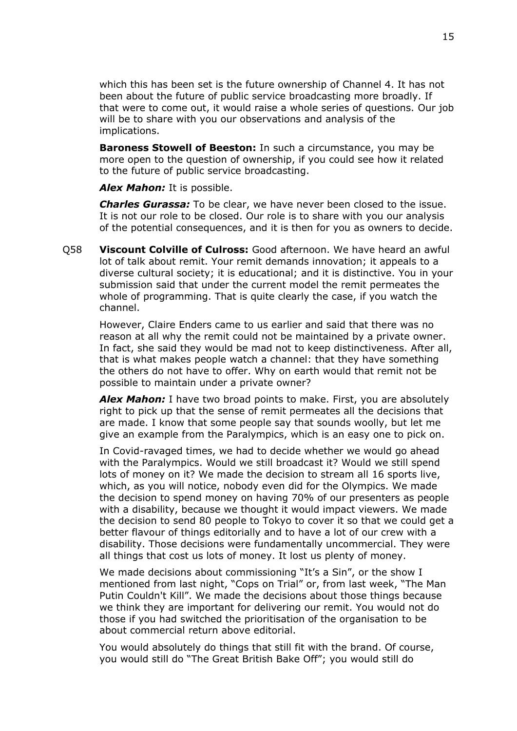which this has been set is the future ownership of Channel 4. It has not been about the future of public service broadcasting more broadly. If that were to come out, it would raise a whole series of questions. Our job will be to share with you our observations and analysis of the implications.

**Baroness Stowell of Beeston:** In such a circumstance, you may be more open to the question of ownership, if you could see how it related to the future of public service broadcasting.

*Alex Mahon:* It is possible.

*Charles Gurassa:* To be clear, we have never been closed to the issue. It is not our role to be closed. Our role is to share with you our analysis of the potential consequences, and it is then for you as owners to decide.

Q58 **Viscount Colville of Culross:** Good afternoon. We have heard an awful lot of talk about remit. Your remit demands innovation; it appeals to a diverse cultural society; it is educational; and it is distinctive. You in your submission said that under the current model the remit permeates the whole of programming. That is quite clearly the case, if you watch the channel.

However, Claire Enders came to us earlier and said that there was no reason at all why the remit could not be maintained by a private owner. In fact, she said they would be mad not to keep distinctiveness. After all, that is what makes people watch a channel: that they have something the others do not have to offer. Why on earth would that remit not be possible to maintain under a private owner?

*Alex Mahon:* I have two broad points to make. First, you are absolutely right to pick up that the sense of remit permeates all the decisions that are made. I know that some people say that sounds woolly, but let me give an example from the Paralympics, which is an easy one to pick on.

In Covid-ravaged times, we had to decide whether we would go ahead with the Paralympics. Would we still broadcast it? Would we still spend lots of money on it? We made the decision to stream all 16 sports live, which, as you will notice, nobody even did for the Olympics. We made the decision to spend money on having 70% of our presenters as people with a disability, because we thought it would impact viewers. We made the decision to send 80 people to Tokyo to cover it so that we could get a better flavour of things editorially and to have a lot of our crew with a disability. Those decisions were fundamentally uncommercial. They were all things that cost us lots of money. It lost us plenty of money.

We made decisions about commissioning "It's a Sin", or the show I mentioned from last night, "Cops on Trial" or, from last week, "The Man Putin Couldn't Kill". We made the decisions about those things because we think they are important for delivering our remit. You would not do those if you had switched the prioritisation of the organisation to be about commercial return above editorial.

You would absolutely do things that still fit with the brand. Of course, you would still do "The Great British Bake Off"; you would still do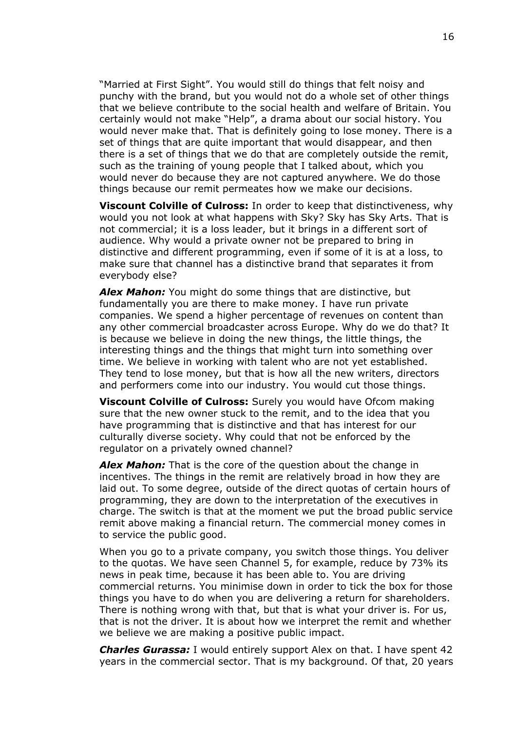"Married at First Sight". You would still do things that felt noisy and punchy with the brand, but you would not do a whole set of other things that we believe contribute to the social health and welfare of Britain. You certainly would not make "Help", a drama about our social history. You would never make that. That is definitely going to lose money. There is a set of things that are quite important that would disappear, and then there is a set of things that we do that are completely outside the remit, such as the training of young people that I talked about, which you would never do because they are not captured anywhere. We do those things because our remit permeates how we make our decisions.

**Viscount Colville of Culross:** In order to keep that distinctiveness, why would you not look at what happens with Sky? Sky has Sky Arts. That is not commercial; it is a loss leader, but it brings in a different sort of audience. Why would a private owner not be prepared to bring in distinctive and different programming, even if some of it is at a loss, to make sure that channel has a distinctive brand that separates it from everybody else?

*Alex Mahon:* You might do some things that are distinctive, but fundamentally you are there to make money. I have run private companies. We spend a higher percentage of revenues on content than any other commercial broadcaster across Europe. Why do we do that? It is because we believe in doing the new things, the little things, the interesting things and the things that might turn into something over time. We believe in working with talent who are not yet established. They tend to lose money, but that is how all the new writers, directors and performers come into our industry. You would cut those things.

**Viscount Colville of Culross:** Surely you would have Ofcom making sure that the new owner stuck to the remit, and to the idea that you have programming that is distinctive and that has interest for our culturally diverse society. Why could that not be enforced by the regulator on a privately owned channel?

*Alex Mahon:* That is the core of the question about the change in incentives. The things in the remit are relatively broad in how they are laid out. To some degree, outside of the direct quotas of certain hours of programming, they are down to the interpretation of the executives in charge. The switch is that at the moment we put the broad public service remit above making a financial return. The commercial money comes in to service the public good.

When you go to a private company, you switch those things. You deliver to the quotas. We have seen Channel 5, for example, reduce by 73% its news in peak time, because it has been able to. You are driving commercial returns. You minimise down in order to tick the box for those things you have to do when you are delivering a return for shareholders. There is nothing wrong with that, but that is what your driver is. For us, that is not the driver. It is about how we interpret the remit and whether we believe we are making a positive public impact.

*Charles Gurassa:* I would entirely support Alex on that. I have spent 42 years in the commercial sector. That is my background. Of that, 20 years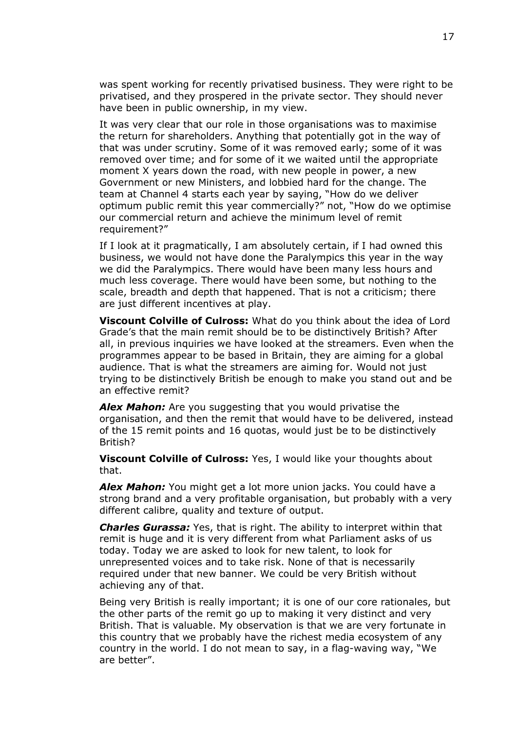was spent working for recently privatised business. They were right to be privatised, and they prospered in the private sector. They should never have been in public ownership, in my view.

It was very clear that our role in those organisations was to maximise the return for shareholders. Anything that potentially got in the way of that was under scrutiny. Some of it was removed early; some of it was removed over time; and for some of it we waited until the appropriate moment X years down the road, with new people in power, a new Government or new Ministers, and lobbied hard for the change. The team at Channel 4 starts each year by saying, "How do we deliver optimum public remit this year commercially?" not, "How do we optimise our commercial return and achieve the minimum level of remit requirement?"

If I look at it pragmatically, I am absolutely certain, if I had owned this business, we would not have done the Paralympics this year in the way we did the Paralympics. There would have been many less hours and much less coverage. There would have been some, but nothing to the scale, breadth and depth that happened. That is not a criticism; there are just different incentives at play.

**Viscount Colville of Culross:** What do you think about the idea of Lord Grade's that the main remit should be to be distinctively British? After all, in previous inquiries we have looked at the streamers. Even when the programmes appear to be based in Britain, they are aiming for a global audience. That is what the streamers are aiming for. Would not just trying to be distinctively British be enough to make you stand out and be an effective remit?

*Alex Mahon:* Are you suggesting that you would privatise the organisation, and then the remit that would have to be delivered, instead of the 15 remit points and 16 quotas, would just be to be distinctively British?

**Viscount Colville of Culross:** Yes, I would like your thoughts about that.

*Alex Mahon:* You might get a lot more union jacks. You could have a strong brand and a very profitable organisation, but probably with a very different calibre, quality and texture of output.

*Charles Gurassa:* Yes, that is right. The ability to interpret within that remit is huge and it is very different from what Parliament asks of us today. Today we are asked to look for new talent, to look for unrepresented voices and to take risk. None of that is necessarily required under that new banner. We could be very British without achieving any of that.

Being very British is really important; it is one of our core rationales, but the other parts of the remit go up to making it very distinct and very British. That is valuable. My observation is that we are very fortunate in this country that we probably have the richest media ecosystem of any country in the world. I do not mean to say, in a flag-waving way, "We are better".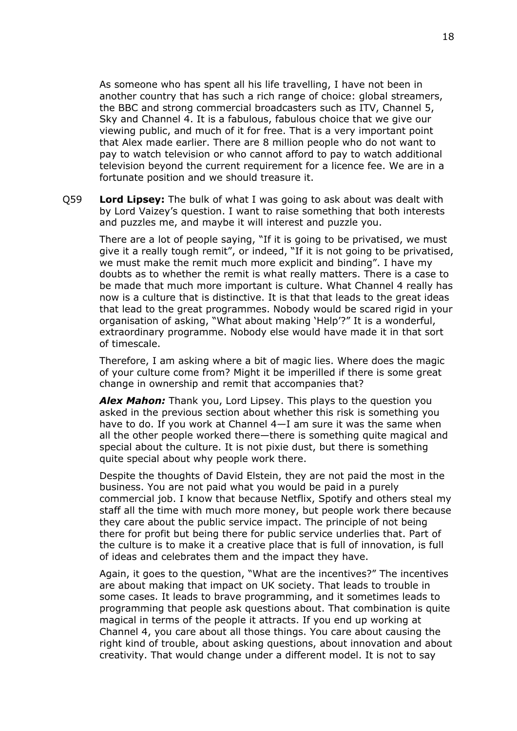As someone who has spent all his life travelling, I have not been in another country that has such a rich range of choice: global streamers, the BBC and strong commercial broadcasters such as ITV, Channel 5, Sky and Channel 4. It is a fabulous, fabulous choice that we give our viewing public, and much of it for free. That is a very important point that Alex made earlier. There are 8 million people who do not want to pay to watch television or who cannot afford to pay to watch additional television beyond the current requirement for a licence fee. We are in a fortunate position and we should treasure it.

Q59 **Lord Lipsey:** The bulk of what I was going to ask about was dealt with by Lord Vaizey's question. I want to raise something that both interests and puzzles me, and maybe it will interest and puzzle you.

There are a lot of people saying, "If it is going to be privatised, we must give it a really tough remit", or indeed, "If it is not going to be privatised, we must make the remit much more explicit and binding". I have my doubts as to whether the remit is what really matters. There is a case to be made that much more important is culture. What Channel 4 really has now is a culture that is distinctive. It is that that leads to the great ideas that lead to the great programmes. Nobody would be scared rigid in your organisation of asking, "What about making 'Help'?" It is a wonderful, extraordinary programme. Nobody else would have made it in that sort of timescale.

Therefore, I am asking where a bit of magic lies. Where does the magic of your culture come from? Might it be imperilled if there is some great change in ownership and remit that accompanies that?

*Alex Mahon:* Thank you, Lord Lipsey. This plays to the question you asked in the previous section about whether this risk is something you have to do. If you work at Channel 4—I am sure it was the same when all the other people worked there—there is something quite magical and special about the culture. It is not pixie dust, but there is something quite special about why people work there.

Despite the thoughts of David Elstein, they are not paid the most in the business. You are not paid what you would be paid in a purely commercial job. I know that because Netflix, Spotify and others steal my staff all the time with much more money, but people work there because they care about the public service impact. The principle of not being there for profit but being there for public service underlies that. Part of the culture is to make it a creative place that is full of innovation, is full of ideas and celebrates them and the impact they have.

Again, it goes to the question, "What are the incentives?" The incentives are about making that impact on UK society. That leads to trouble in some cases. It leads to brave programming, and it sometimes leads to programming that people ask questions about. That combination is quite magical in terms of the people it attracts. If you end up working at Channel 4, you care about all those things. You care about causing the right kind of trouble, about asking questions, about innovation and about creativity. That would change under a different model. It is not to say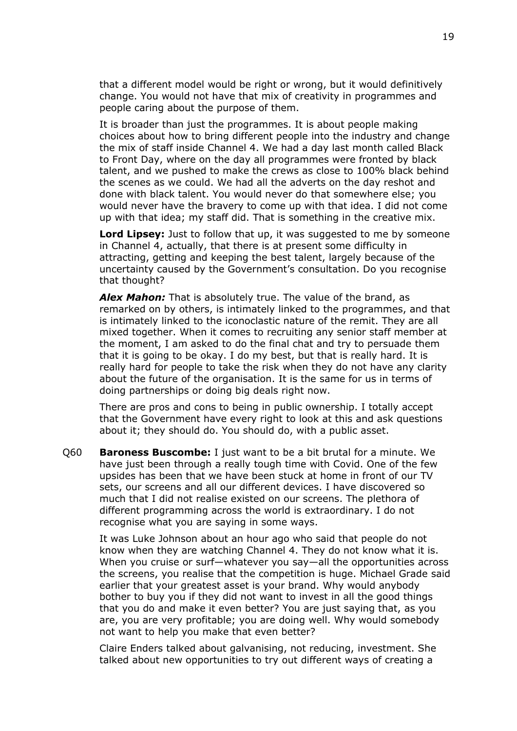that a different model would be right or wrong, but it would definitively change. You would not have that mix of creativity in programmes and people caring about the purpose of them.

It is broader than just the programmes. It is about people making choices about how to bring different people into the industry and change the mix of staff inside Channel 4. We had a day last month called Black to Front Day, where on the day all programmes were fronted by black talent, and we pushed to make the crews as close to 100% black behind the scenes as we could. We had all the adverts on the day reshot and done with black talent. You would never do that somewhere else; you would never have the bravery to come up with that idea. I did not come up with that idea; my staff did. That is something in the creative mix.

**Lord Lipsey:** Just to follow that up, it was suggested to me by someone in Channel 4, actually, that there is at present some difficulty in attracting, getting and keeping the best talent, largely because of the uncertainty caused by the Government's consultation. Do you recognise that thought?

*Alex Mahon:* That is absolutely true. The value of the brand, as remarked on by others, is intimately linked to the programmes, and that is intimately linked to the iconoclastic nature of the remit. They are all mixed together. When it comes to recruiting any senior staff member at the moment, I am asked to do the final chat and try to persuade them that it is going to be okay. I do my best, but that is really hard. It is really hard for people to take the risk when they do not have any clarity about the future of the organisation. It is the same for us in terms of doing partnerships or doing big deals right now.

There are pros and cons to being in public ownership. I totally accept that the Government have every right to look at this and ask questions about it; they should do. You should do, with a public asset.

Q60 **Baroness Buscombe:** I just want to be a bit brutal for a minute. We have just been through a really tough time with Covid. One of the few upsides has been that we have been stuck at home in front of our TV sets, our screens and all our different devices. I have discovered so much that I did not realise existed on our screens. The plethora of different programming across the world is extraordinary. I do not recognise what you are saying in some ways.

It was Luke Johnson about an hour ago who said that people do not know when they are watching Channel 4. They do not know what it is. When you cruise or surf—whatever you say—all the opportunities across the screens, you realise that the competition is huge. Michael Grade said earlier that your greatest asset is your brand. Why would anybody bother to buy you if they did not want to invest in all the good things that you do and make it even better? You are just saying that, as you are, you are very profitable; you are doing well. Why would somebody not want to help you make that even better?

Claire Enders talked about galvanising, not reducing, investment. She talked about new opportunities to try out different ways of creating a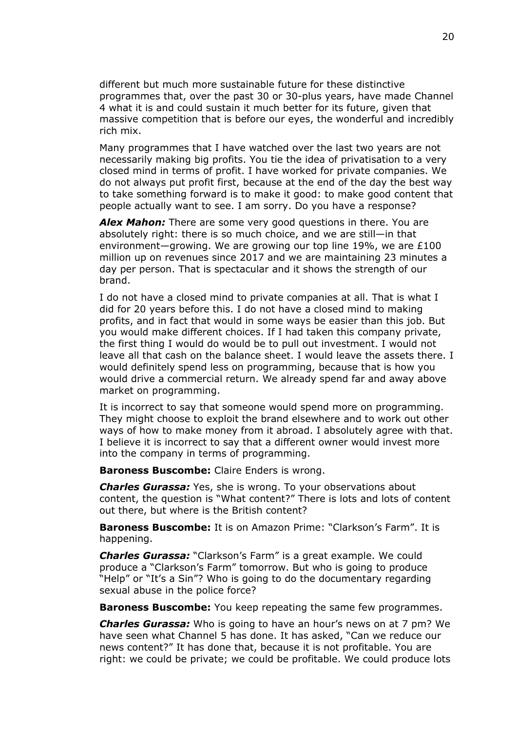different but much more sustainable future for these distinctive programmes that, over the past 30 or 30-plus years, have made Channel 4 what it is and could sustain it much better for its future, given that massive competition that is before our eyes, the wonderful and incredibly rich mix.

Many programmes that I have watched over the last two years are not necessarily making big profits. You tie the idea of privatisation to a very closed mind in terms of profit. I have worked for private companies. We do not always put profit first, because at the end of the day the best way to take something forward is to make it good: to make good content that people actually want to see. I am sorry. Do you have a response?

*Alex Mahon:* There are some very good questions in there. You are absolutely right: there is so much choice, and we are still—in that environment—growing. We are growing our top line 19%, we are £100 million up on revenues since 2017 and we are maintaining 23 minutes a day per person. That is spectacular and it shows the strength of our brand.

I do not have a closed mind to private companies at all. That is what I did for 20 years before this. I do not have a closed mind to making profits, and in fact that would in some ways be easier than this job. But you would make different choices. If I had taken this company private, the first thing I would do would be to pull out investment. I would not leave all that cash on the balance sheet. I would leave the assets there. I would definitely spend less on programming, because that is how you would drive a commercial return. We already spend far and away above market on programming.

It is incorrect to say that someone would spend more on programming. They might choose to exploit the brand elsewhere and to work out other ways of how to make money from it abroad. I absolutely agree with that. I believe it is incorrect to say that a different owner would invest more into the company in terms of programming.

**Baroness Buscombe:** Claire Enders is wrong.

*Charles Gurassa:* Yes, she is wrong. To your observations about content, the question is "What content?" There is lots and lots of content out there, but where is the British content?

**Baroness Buscombe:** It is on Amazon Prime: "Clarkson's Farm". It is happening.

*Charles Gurassa:* "Clarkson's Farm" is a great example. We could produce a "Clarkson's Farm" tomorrow. But who is going to produce "Help" or "It's a Sin"? Who is going to do the documentary regarding sexual abuse in the police force?

**Baroness Buscombe:** You keep repeating the same few programmes.

*Charles Gurassa:* Who is going to have an hour's news on at 7 pm? We have seen what Channel 5 has done. It has asked, "Can we reduce our news content?" It has done that, because it is not profitable. You are right: we could be private; we could be profitable. We could produce lots